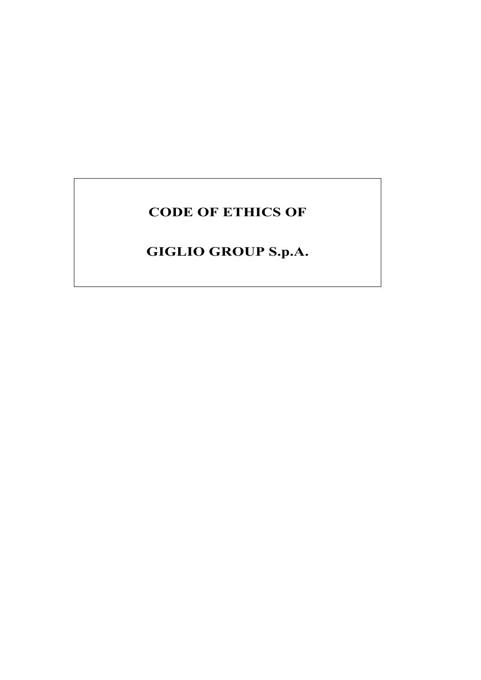# **CODE OF ETHICS OF**

# **GIGLIO GROUP S.p.A.**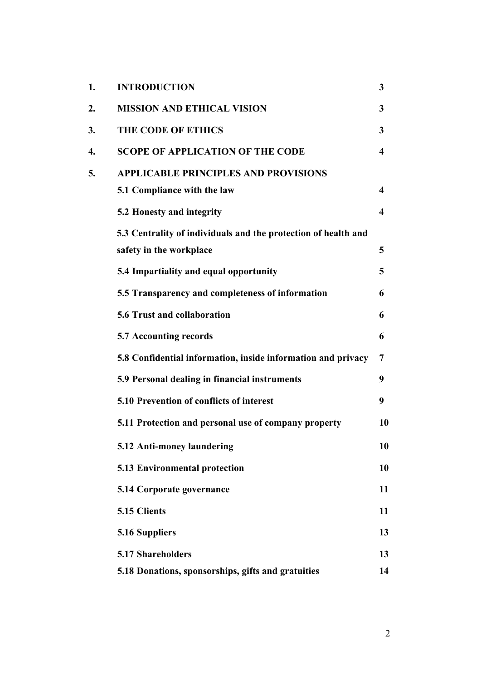| 1. | <b>INTRODUCTION</b>                                            | 3                       |
|----|----------------------------------------------------------------|-------------------------|
| 2. | <b>MISSION AND ETHICAL VISION</b>                              | 3                       |
| 3. | <b>THE CODE OF ETHICS</b>                                      | 3                       |
| 4. | <b>SCOPE OF APPLICATION OF THE CODE</b>                        | $\overline{\mathbf{4}}$ |
| 5. | <b>APPLICABLE PRINCIPLES AND PROVISIONS</b>                    |                         |
|    | 5.1 Compliance with the law                                    | $\overline{\mathbf{4}}$ |
|    | 5.2 Honesty and integrity                                      | $\overline{\mathbf{4}}$ |
|    | 5.3 Centrality of individuals and the protection of health and |                         |
|    | safety in the workplace                                        | 5                       |
|    | 5.4 Impartiality and equal opportunity                         | 5                       |
|    | 5.5 Transparency and completeness of information               | 6                       |
|    | 5.6 Trust and collaboration                                    | 6                       |
|    | 5.7 Accounting records                                         | 6                       |
|    | 5.8 Confidential information, inside information and privacy   | 7                       |
|    | 5.9 Personal dealing in financial instruments                  | 9                       |
|    | 5.10 Prevention of conflicts of interest                       | 9                       |
|    | 5.11 Protection and personal use of company property           | 10                      |
|    | 5.12 Anti-money laundering                                     | 10                      |
|    | <b>5.13 Environmental protection</b>                           | 10                      |
|    | 5.14 Corporate governance                                      | 11                      |
|    | 5.15 Clients                                                   | 11                      |
|    | 5.16 Suppliers                                                 | 13                      |
|    | 5.17 Shareholders                                              | 13                      |
|    | 5.18 Donations, sponsorships, gifts and gratuities             | 14                      |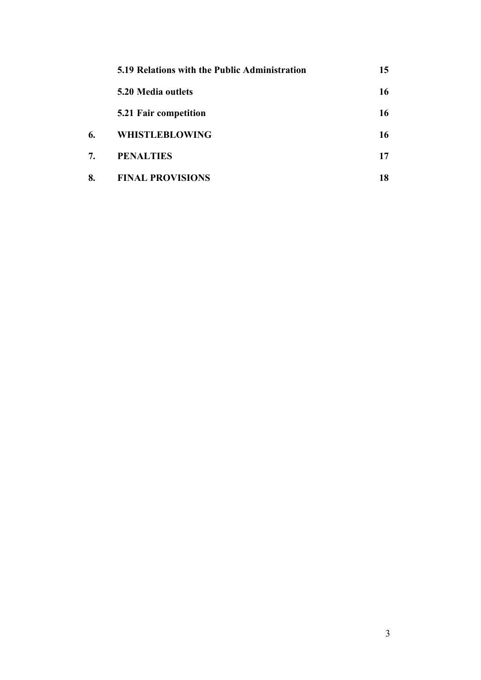|    | 5.19 Relations with the Public Administration | 15 |
|----|-----------------------------------------------|----|
|    | 5.20 Media outlets                            | 16 |
|    | 5.21 Fair competition                         | 16 |
| 6. | <b>WHISTLEBLOWING</b>                         | 16 |
| 7. | <b>PENALTIES</b>                              | 17 |
| 8. | <b>FINAL PROVISIONS</b>                       | 18 |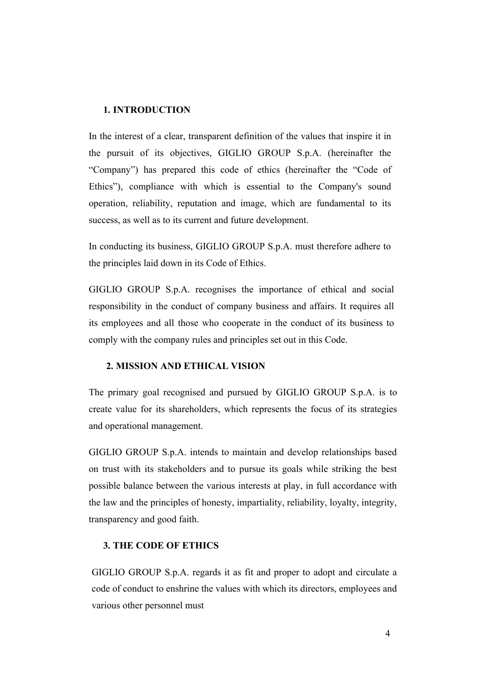#### **1. INTRODUCTION**

In the interest of a clear, transparent definition of the values that inspire it in the pursuit of its objectives, GIGLIO GROUP S.p.A. (hereinafter the "Company") has prepared this code of ethics (hereinafter the "Code of Ethics"), compliance with which is essential to the Company's sound operation, reliability, reputation and image, which are fundamental to its success, as well as to its current and future development.

In conducting its business, GIGLIO GROUP S.p.A. must therefore adhere to the principles laid down in its Code of Ethics.

GIGLIO GROUP S.p.A. recognises the importance of ethical and social responsibility in the conduct of company business and affairs. It requires all its employees and all those who cooperate in the conduct of its business to comply with the company rules and principles set out in this Code.

### **2. MISSION AND ETHICAL VISION**

The primary goal recognised and pursued by GIGLIO GROUP S.p.A. is to create value for its shareholders, which represents the focus of its strategies and operational management.

GIGLIO GROUP S.p.A. intends to maintain and develop relationships based on trust with its stakeholders and to pursue its goals while striking the best possible balance between the various interests at play, in full accordance with the law and the principles of honesty, impartiality, reliability, loyalty, integrity, transparency and good faith.

### **3. THE CODE OF ETHICS**

GIGLIO GROUP S.p.A. regards it as fit and proper to adopt and circulate a code of conduct to enshrine the values with which its directors, employees and various other personnel must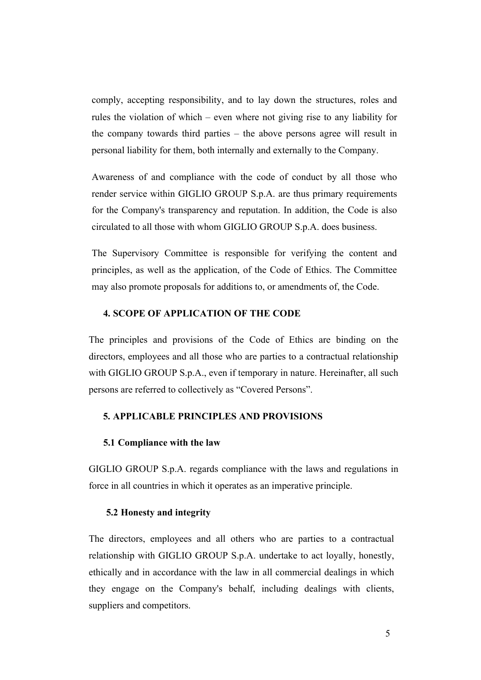comply, accepting responsibility, and to lay down the structures, roles and rules the violation of which – even where not giving rise to any liability for the company towards third parties – the above persons agree will result in personal liability for them, both internally and externally to the Company.

Awareness of and compliance with the code of conduct by all those who render service within GIGLIO GROUP S.p.A. are thus primary requirements for the Company's transparency and reputation. In addition, the Code is also circulated to all those with whom GIGLIO GROUP S.p.A. does business.

The Supervisory Committee is responsible for verifying the content and principles, as well as the application, of the Code of Ethics. The Committee may also promote proposals for additions to, or amendments of, the Code.

# **4. SCOPE OF APPLICATION OF THE CODE**

The principles and provisions of the Code of Ethics are binding on the directors, employees and all those who are parties to a contractual relationship with GIGLIO GROUP S.p.A., even if temporary in nature. Hereinafter, all such persons are referred to collectively as "Covered Persons".

# **5. APPLICABLE PRINCIPLES AND PROVISIONS**

#### **5.1 Compliance with the law**

GIGLIO GROUP S.p.A. regards compliance with the laws and regulations in force in all countries in which it operates as an imperative principle.

#### **5.2 Honesty and integrity**

The directors, employees and all others who are parties to a contractual relationship with GIGLIO GROUP S.p.A. undertake to act loyally, honestly, ethically and in accordance with the law in all commercial dealings in which they engage on the Company's behalf, including dealings with clients, suppliers and competitors.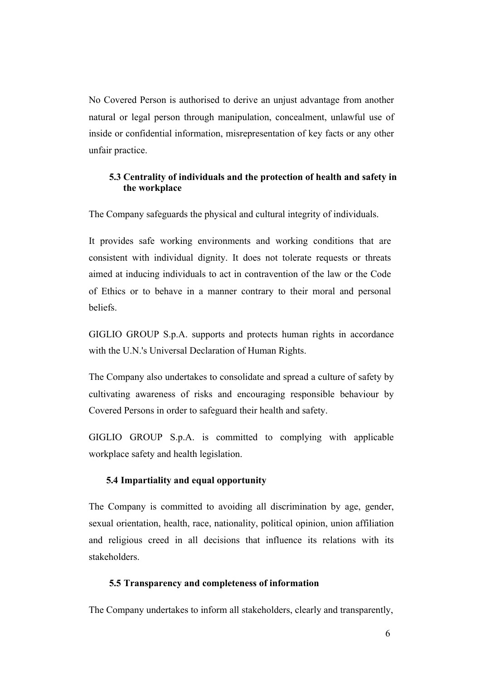No Covered Person is authorised to derive an unjust advantage from another natural or legal person through manipulation, concealment, unlawful use of inside or confidential information, misrepresentation of key facts or any other unfair practice.

# **5.3 Centrality of individuals and the protection of health and safety in the workplace**

The Company safeguards the physical and cultural integrity of individuals.

It provides safe working environments and working conditions that are consistent with individual dignity. It does not tolerate requests or threats aimed at inducing individuals to act in contravention of the law or the Code of Ethics or to behave in a manner contrary to their moral and personal beliefs.

GIGLIO GROUP S.p.A. supports and protects human rights in accordance with the U.N.'s Universal Declaration of Human Rights.

The Company also undertakes to consolidate and spread a culture of safety by cultivating awareness of risks and encouraging responsible behaviour by Covered Persons in order to safeguard their health and safety.

GIGLIO GROUP S.p.A. is committed to complying with applicable workplace safety and health legislation.

# **5.4 Impartiality and equal opportunity**

The Company is committed to avoiding all discrimination by age, gender, sexual orientation, health, race, nationality, political opinion, union affiliation and religious creed in all decisions that influence its relations with its stakeholders.

#### **5.5 Transparency and completeness of information**

The Company undertakes to inform all stakeholders, clearly and transparently,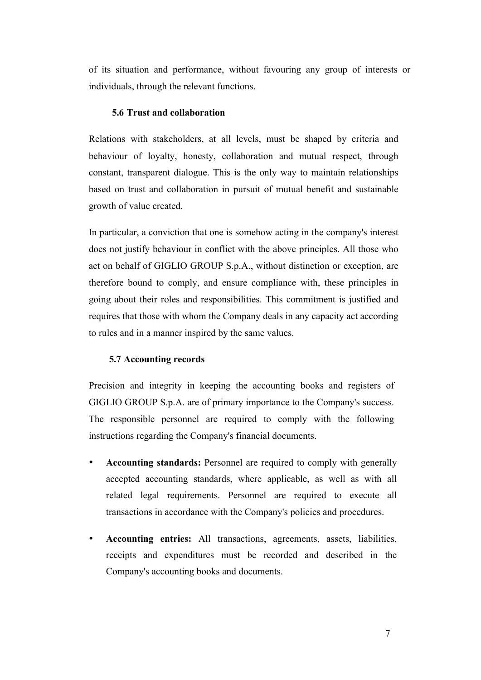of its situation and performance, without favouring any group of interests or individuals, through the relevant functions.

### **5.6 Trust and collaboration**

Relations with stakeholders, at all levels, must be shaped by criteria and behaviour of loyalty, honesty, collaboration and mutual respect, through constant, transparent dialogue. This is the only way to maintain relationships based on trust and collaboration in pursuit of mutual benefit and sustainable growth of value created.

In particular, a conviction that one is somehow acting in the company's interest does not justify behaviour in conflict with the above principles. All those who act on behalf of GIGLIO GROUP S.p.A., without distinction or exception, are therefore bound to comply, and ensure compliance with, these principles in going about their roles and responsibilities. This commitment is justified and requires that those with whom the Company deals in any capacity act according to rules and in a manner inspired by the same values.

#### **5.7 Accounting records**

Precision and integrity in keeping the accounting books and registers of GIGLIO GROUP S.p.A. are of primary importance to the Company's success. The responsible personnel are required to comply with the following instructions regarding the Company's financial documents.

- **Accounting standards:** Personnel are required to comply with generally accepted accounting standards, where applicable, as well as with all related legal requirements. Personnel are required to execute all transactions in accordance with the Company's policies and procedures.
- **Accounting entries:** All transactions, agreements, assets, liabilities, receipts and expenditures must be recorded and described in the Company's accounting books and documents.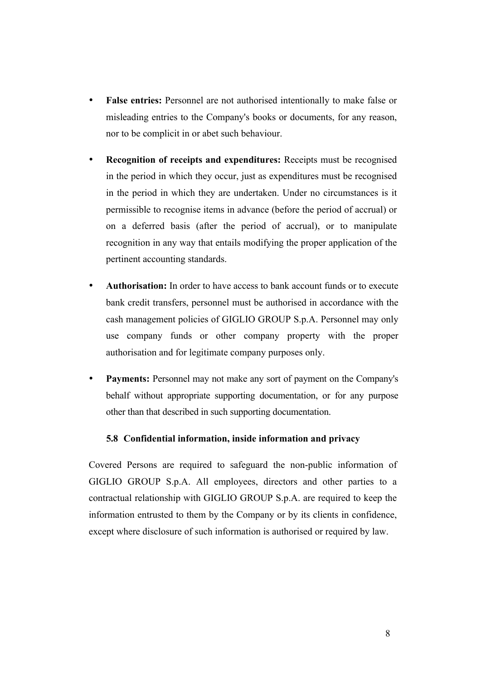- **False entries:** Personnel are not authorised intentionally to make false or misleading entries to the Company's books or documents, for any reason, nor to be complicit in or abet such behaviour.
- **Recognition of receipts and expenditures:** Receipts must be recognised in the period in which they occur, just as expenditures must be recognised in the period in which they are undertaken. Under no circumstances is it permissible to recognise items in advance (before the period of accrual) or on a deferred basis (after the period of accrual), or to manipulate recognition in any way that entails modifying the proper application of the pertinent accounting standards.
- **Authorisation:** In order to have access to bank account funds or to execute bank credit transfers, personnel must be authorised in accordance with the cash management policies of GIGLIO GROUP S.p.A. Personnel may only use company funds or other company property with the proper authorisation and for legitimate company purposes only.
- **Payments:** Personnel may not make any sort of payment on the Company's behalf without appropriate supporting documentation, or for any purpose other than that described in such supporting documentation.

### **5.8 Confidential information, inside information and privacy**

Covered Persons are required to safeguard the non-public information of GIGLIO GROUP S.p.A. All employees, directors and other parties to a contractual relationship with GIGLIO GROUP S.p.A. are required to keep the information entrusted to them by the Company or by its clients in confidence, except where disclosure of such information is authorised or required by law.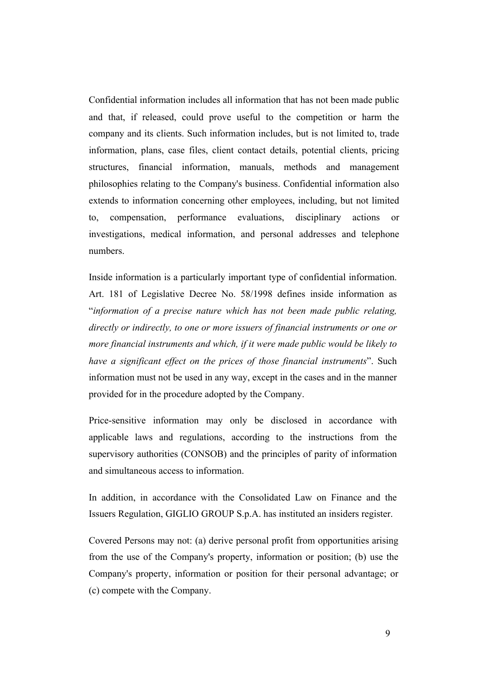Confidential information includes all information that has not been made public and that, if released, could prove useful to the competition or harm the company and its clients. Such information includes, but is not limited to, trade information, plans, case files, client contact details, potential clients, pricing structures, financial information, manuals, methods and management philosophies relating to the Company's business. Confidential information also extends to information concerning other employees, including, but not limited to, compensation, performance evaluations, disciplinary actions or investigations, medical information, and personal addresses and telephone numbers.

Inside information is a particularly important type of confidential information. Art. 181 of Legislative Decree No. 58/1998 defines inside information as "*information of a precise nature which has not been made public relating, directly or indirectly, to one or more issuers of financial instruments or one or more financial instruments and which, if it were made public would be likely to have a significant effect on the prices of those financial instruments*". Such information must not be used in any way, except in the cases and in the manner provided for in the procedure adopted by the Company.

Price-sensitive information may only be disclosed in accordance with applicable laws and regulations, according to the instructions from the supervisory authorities (CONSOB) and the principles of parity of information and simultaneous access to information.

In addition, in accordance with the Consolidated Law on Finance and the Issuers Regulation, GIGLIO GROUP S.p.A. has instituted an insiders register.

Covered Persons may not: (a) derive personal profit from opportunities arising from the use of the Company's property, information or position; (b) use the Company's property, information or position for their personal advantage; or (c) compete with the Company.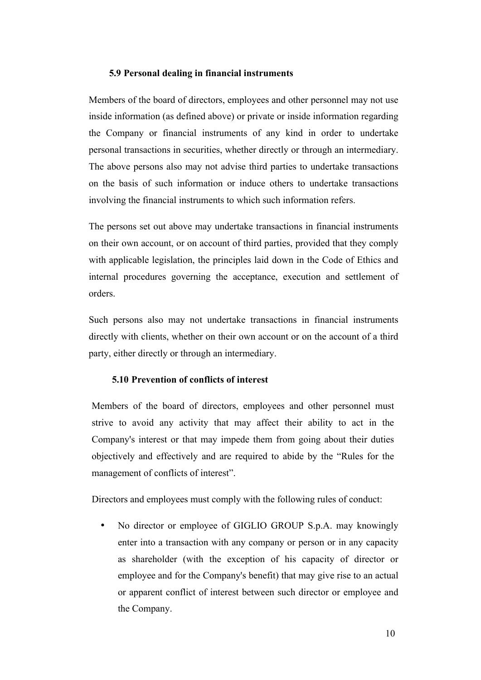#### **5.9 Personal dealing in financial instruments**

Members of the board of directors, employees and other personnel may not use inside information (as defined above) or private or inside information regarding the Company or financial instruments of any kind in order to undertake personal transactions in securities, whether directly or through an intermediary. The above persons also may not advise third parties to undertake transactions on the basis of such information or induce others to undertake transactions involving the financial instruments to which such information refers.

The persons set out above may undertake transactions in financial instruments on their own account, or on account of third parties, provided that they comply with applicable legislation, the principles laid down in the Code of Ethics and internal procedures governing the acceptance, execution and settlement of orders.

Such persons also may not undertake transactions in financial instruments directly with clients, whether on their own account or on the account of a third party, either directly or through an intermediary.

### **5.10 Prevention of conflicts of interest**

Members of the board of directors, employees and other personnel must strive to avoid any activity that may affect their ability to act in the Company's interest or that may impede them from going about their duties objectively and effectively and are required to abide by the "Rules for the management of conflicts of interest".

Directors and employees must comply with the following rules of conduct:

No director or employee of GIGLIO GROUP S.p.A. may knowingly enter into a transaction with any company or person or in any capacity as shareholder (with the exception of his capacity of director or employee and for the Company's benefit) that may give rise to an actual or apparent conflict of interest between such director or employee and the Company.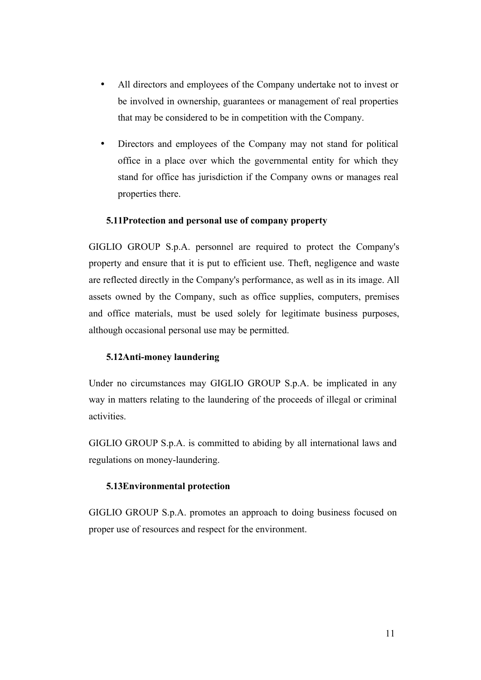- All directors and employees of the Company undertake not to invest or be involved in ownership, guarantees or management of real properties that may be considered to be in competition with the Company.
- Directors and employees of the Company may not stand for political office in a place over which the governmental entity for which they stand for office has jurisdiction if the Company owns or manages real properties there.

# **5.11Protection and personal use of company property**

GIGLIO GROUP S.p.A. personnel are required to protect the Company's property and ensure that it is put to efficient use. Theft, negligence and waste are reflected directly in the Company's performance, as well as in its image. All assets owned by the Company, such as office supplies, computers, premises and office materials, must be used solely for legitimate business purposes, although occasional personal use may be permitted.

### **5.12Anti-money laundering**

Under no circumstances may GIGLIO GROUP S.p.A. be implicated in any way in matters relating to the laundering of the proceeds of illegal or criminal activities.

GIGLIO GROUP S.p.A. is committed to abiding by all international laws and regulations on money-laundering.

### **5.13Environmental protection**

GIGLIO GROUP S.p.A. promotes an approach to doing business focused on proper use of resources and respect for the environment.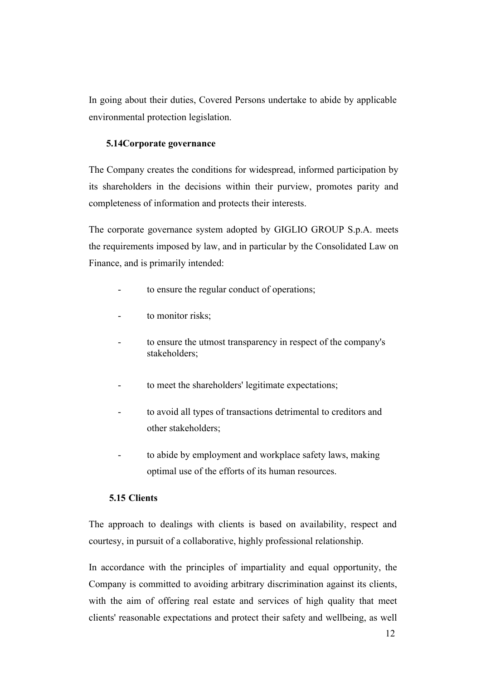In going about their duties, Covered Persons undertake to abide by applicable environmental protection legislation.

# **5.14Corporate governance**

The Company creates the conditions for widespread, informed participation by its shareholders in the decisions within their purview, promotes parity and completeness of information and protects their interests.

The corporate governance system adopted by GIGLIO GROUP S.p.A. meets the requirements imposed by law, and in particular by the Consolidated Law on Finance, and is primarily intended:

- to ensure the regular conduct of operations;
- to monitor risks;
- to ensure the utmost transparency in respect of the company's stakeholders;
- to meet the shareholders' legitimate expectations;
- to avoid all types of transactions detrimental to creditors and other stakeholders;
- to abide by employment and workplace safety laws, making optimal use of the efforts of its human resources.

# **5.15 Clients**

The approach to dealings with clients is based on availability, respect and courtesy, in pursuit of a collaborative, highly professional relationship.

In accordance with the principles of impartiality and equal opportunity, the Company is committed to avoiding arbitrary discrimination against its clients, with the aim of offering real estate and services of high quality that meet clients' reasonable expectations and protect their safety and wellbeing, as well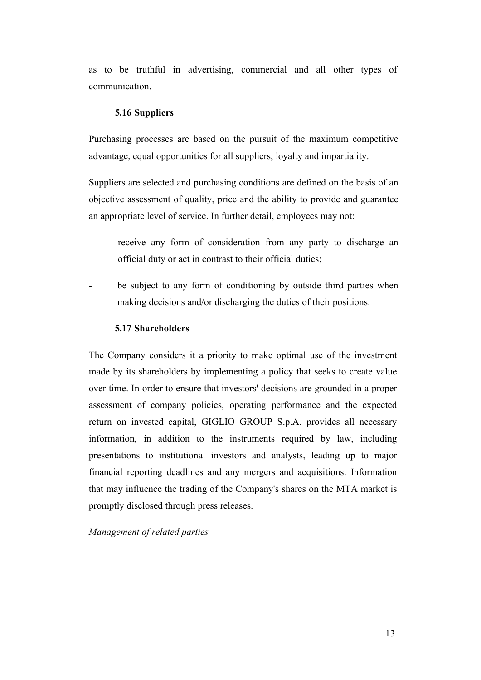as to be truthful in advertising, commercial and all other types of communication.

# **5.16 Suppliers**

Purchasing processes are based on the pursuit of the maximum competitive advantage, equal opportunities for all suppliers, loyalty and impartiality.

Suppliers are selected and purchasing conditions are defined on the basis of an objective assessment of quality, price and the ability to provide and guarantee an appropriate level of service. In further detail, employees may not:

- receive any form of consideration from any party to discharge an official duty or act in contrast to their official duties;
- be subject to any form of conditioning by outside third parties when making decisions and/or discharging the duties of their positions.

#### **5.17 Shareholders**

The Company considers it a priority to make optimal use of the investment made by its shareholders by implementing a policy that seeks to create value over time. In order to ensure that investors' decisions are grounded in a proper assessment of company policies, operating performance and the expected return on invested capital, GIGLIO GROUP S.p.A. provides all necessary information, in addition to the instruments required by law, including presentations to institutional investors and analysts, leading up to major financial reporting deadlines and any mergers and acquisitions. Information that may influence the trading of the Company's shares on the MTA market is promptly disclosed through press releases.

*Management of related parties*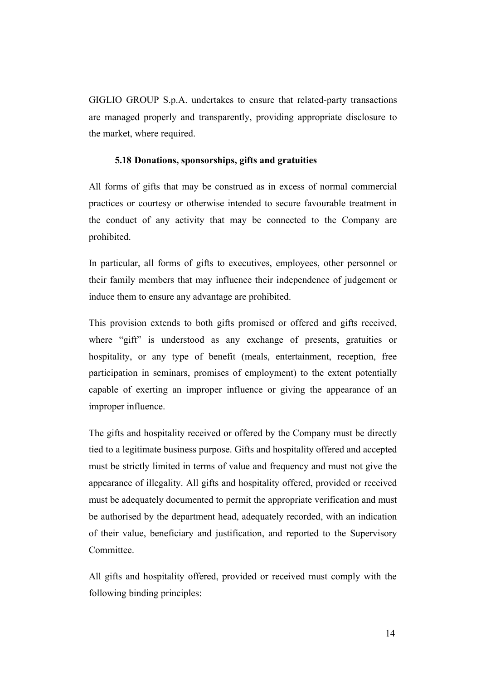GIGLIO GROUP S.p.A. undertakes to ensure that related-party transactions are managed properly and transparently, providing appropriate disclosure to the market, where required.

#### **5.18 Donations, sponsorships, gifts and gratuities**

All forms of gifts that may be construed as in excess of normal commercial practices or courtesy or otherwise intended to secure favourable treatment in the conduct of any activity that may be connected to the Company are prohibited.

In particular, all forms of gifts to executives, employees, other personnel or their family members that may influence their independence of judgement or induce them to ensure any advantage are prohibited.

This provision extends to both gifts promised or offered and gifts received, where "gift" is understood as any exchange of presents, gratuities or hospitality, or any type of benefit (meals, entertainment, reception, free participation in seminars, promises of employment) to the extent potentially capable of exerting an improper influence or giving the appearance of an improper influence.

The gifts and hospitality received or offered by the Company must be directly tied to a legitimate business purpose. Gifts and hospitality offered and accepted must be strictly limited in terms of value and frequency and must not give the appearance of illegality. All gifts and hospitality offered, provided or received must be adequately documented to permit the appropriate verification and must be authorised by the department head, adequately recorded, with an indication of their value, beneficiary and justification, and reported to the Supervisory Committee.

All gifts and hospitality offered, provided or received must comply with the following binding principles: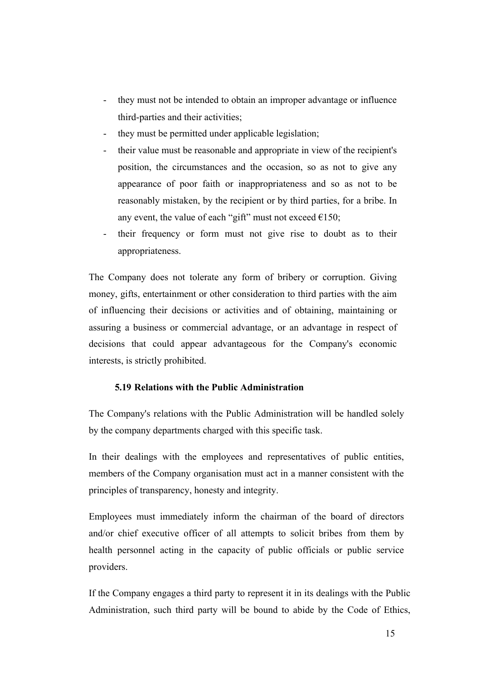- they must not be intended to obtain an improper advantage or influence third-parties and their activities;
- they must be permitted under applicable legislation;
- their value must be reasonable and appropriate in view of the recipient's position, the circumstances and the occasion, so as not to give any appearance of poor faith or inappropriateness and so as not to be reasonably mistaken, by the recipient or by third parties, for a bribe. In any event, the value of each "gift" must not exceed  $\epsilon$ 150;
- their frequency or form must not give rise to doubt as to their appropriateness.

The Company does not tolerate any form of bribery or corruption. Giving money, gifts, entertainment or other consideration to third parties with the aim of influencing their decisions or activities and of obtaining, maintaining or assuring a business or commercial advantage, or an advantage in respect of decisions that could appear advantageous for the Company's economic interests, is strictly prohibited.

# **5.19 Relations with the Public Administration**

The Company's relations with the Public Administration will be handled solely by the company departments charged with this specific task.

In their dealings with the employees and representatives of public entities, members of the Company organisation must act in a manner consistent with the principles of transparency, honesty and integrity.

Employees must immediately inform the chairman of the board of directors and/or chief executive officer of all attempts to solicit bribes from them by health personnel acting in the capacity of public officials or public service providers.

If the Company engages a third party to represent it in its dealings with the Public Administration, such third party will be bound to abide by the Code of Ethics,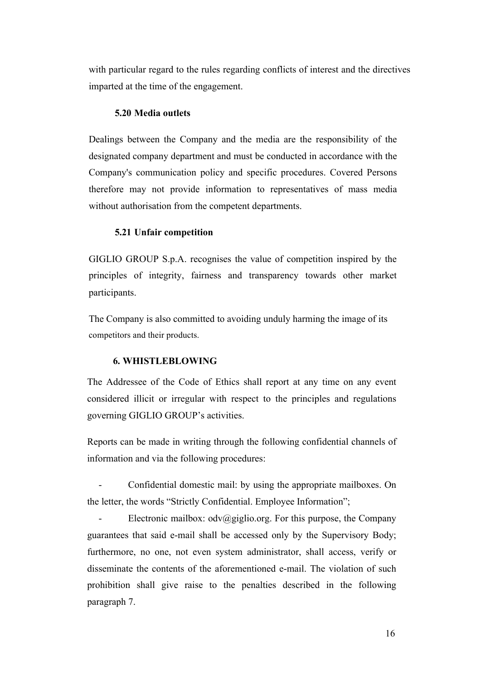with particular regard to the rules regarding conflicts of interest and the directives imparted at the time of the engagement.

#### **5.20 Media outlets**

Dealings between the Company and the media are the responsibility of the designated company department and must be conducted in accordance with the Company's communication policy and specific procedures. Covered Persons therefore may not provide information to representatives of mass media without authorisation from the competent departments.

### **5.21 Unfair competition**

GIGLIO GROUP S.p.A. recognises the value of competition inspired by the principles of integrity, fairness and transparency towards other market participants.

The Company is also committed to avoiding unduly harming the image of its competitors and their products.

### **6. WHISTLEBLOWING**

The Addressee of the Code of Ethics shall report at any time on any event considered illicit or irregular with respect to the principles and regulations governing GIGLIO GROUP's activities.

Reports can be made in writing through the following confidential channels of information and via the following procedures:

- Confidential domestic mail: by using the appropriate mailboxes. On the letter, the words "Strictly Confidential. Employee Information";

Electronic mailbox:  $\frac{\partial v}{\partial g}$ iglio.org. For this purpose, the Company guarantees that said e-mail shall be accessed only by the Supervisory Body; furthermore, no one, not even system administrator, shall access, verify or disseminate the contents of the aforementioned e-mail. The violation of such prohibition shall give raise to the penalties described in the following paragraph 7.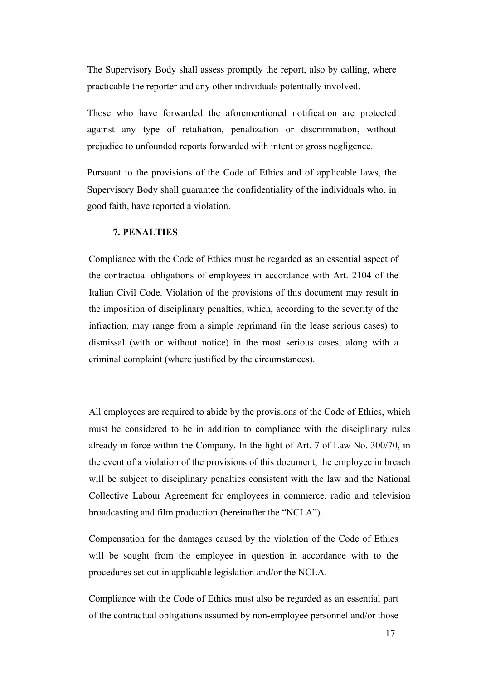The Supervisory Body shall assess promptly the report, also by calling, where practicable the reporter and any other individuals potentially involved.

Those who have forwarded the aforementioned notification are protected against any type of retaliation, penalization or discrimination, without prejudice to unfounded reports forwarded with intent or gross negligence.

Pursuant to the provisions of the Code of Ethics and of applicable laws, the Supervisory Body shall guarantee the confidentiality of the individuals who, in good faith, have reported a violation.

#### **7. PENALTIES**

Compliance with the Code of Ethics must be regarded as an essential aspect of the contractual obligations of employees in accordance with Art. 2104 of the Italian Civil Code. Violation of the provisions of this document may result in the imposition of disciplinary penalties, which, according to the severity of the infraction, may range from a simple reprimand (in the lease serious cases) to dismissal (with or without notice) in the most serious cases, along with a criminal complaint (where justified by the circumstances).

All employees are required to abide by the provisions of the Code of Ethics, which must be considered to be in addition to compliance with the disciplinary rules already in force within the Company. In the light of Art. 7 of Law No. 300/70, in the event of a violation of the provisions of this document, the employee in breach will be subject to disciplinary penalties consistent with the law and the National Collective Labour Agreement for employees in commerce, radio and television broadcasting and film production (hereinafter the "NCLA").

Compensation for the damages caused by the violation of the Code of Ethics will be sought from the employee in question in accordance with to the procedures set out in applicable legislation and/or the NCLA.

Compliance with the Code of Ethics must also be regarded as an essential part of the contractual obligations assumed by non-employee personnel and/or those